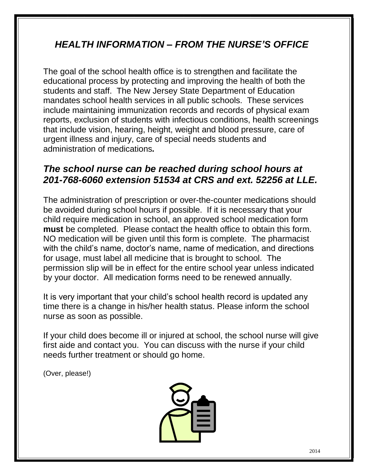### *HEALTH INFORMATION – FROM THE NURSE'S OFFICE*

The goal of the school health office is to strengthen and facilitate the educational process by protecting and improving the health of both the students and staff. The New Jersey State Department of Education mandates school health services in all public schools. These services include maintaining immunization records and records of physical exam reports, exclusion of students with infectious conditions, health screenings that include vision, hearing, height, weight and blood pressure, care of urgent illness and injury, care of special needs students and administration of medications*.* 

#### *The school nurse can be reached during school hours at 201-768-6060 extension 51534 at CRS and ext. 52256 at LLE.*

The administration of prescription or over-the-counter medications should be avoided during school hours if possible. If it is necessary that your child require medication in school, an approved school medication form **must** be completed. Please contact the health office to obtain this form. NO medication will be given until this form is complete. The pharmacist with the child's name, doctor's name, name of medication, and directions for usage, must label all medicine that is brought to school. The permission slip will be in effect for the entire school year unless indicated by your doctor. All medication forms need to be renewed annually.

It is very important that your child's school health record is updated any time there is a change in his/her health status. Please inform the school nurse as soon as possible.

If your child does become ill or injured at school, the school nurse will give first aide and contact you. You can discuss with the nurse if your child needs further treatment or should go home.

(Over, please!)